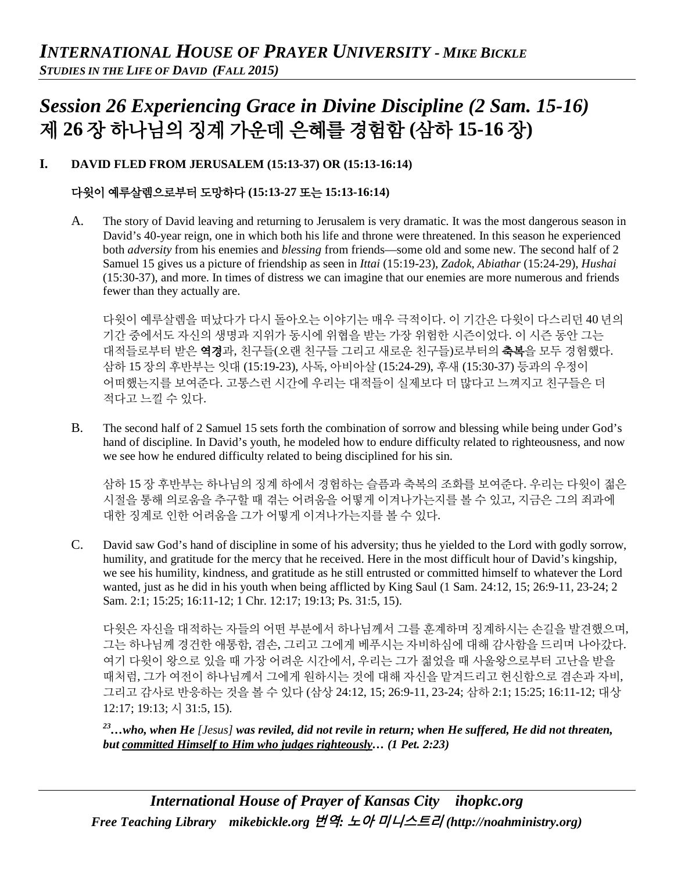# *Session 26 Experiencing Grace in Divine Discipline (2 Sam. 15-16)* 제 **26** 장 하나님의 징계 가운데 은혜를 경험함 **(**삼하 **15-16** 장**)**

## **I. DAVID FLED FROM JERUSALEM (15:13-37) OR (15:13-16:14)**

## 다윗이 예루살렘으로부터 도망하다 **(15:13-27** 또는 **15:13-16:14)**

A. The story of David leaving and returning to Jerusalem is very dramatic. It was the most dangerous season in David's 40-year reign, one in which both his life and throne were threatened. In this season he experienced both *adversity* from his enemies and *blessing* from friends—some old and some new. The second half of 2 Samuel 15 gives us a picture of friendship as seen in *Ittai* (15:19-23), *Zadok*, *Abiathar* (15:24-29), *Hushai*  (15:30-37), and more. In times of distress we can imagine that our enemies are more numerous and friends fewer than they actually are.

다윗이 예루살렘을 떠났다가 다시 돌아오는 이야기는 매우 극적이다. 이 기간은 다윗이 다스리던 40 년의 기간 중에서도 자신의 생명과 지위가 동시에 위협을 받는 가장 위험한 시즌이었다. 이 시즌 동안 그는 대적들로부터 받은 **역경**과, 친구들(오랜 친구들 그리고 새로운 친구들)로부터의 **축복**을 모두 경험했다. 삼하 15 장의 후반부는 잇대 (15:19-23), 사독, 아비아살 (15:24-29), 후새 (15:30-37) 등과의 우정이 어떠했는지를 보여준다. 고통스런 시간에 우리는 대적들이 실제보다 더 많다고 느껴지고 친구들은 더 적다고 느낄 수 있다.

B. The second half of 2 Samuel 15 sets forth the combination of sorrow and blessing while being under God's hand of discipline. In David's youth, he modeled how to endure difficulty related to righteousness, and now we see how he endured difficulty related to being disciplined for his sin.

삼하 15 장 후반부는 하나님의 징계 하에서 경험하는 슬픔과 축복의 조화를 보여준다. 우리는 다윗이 젊은 시절을 통해 의로움을 추구할 때 겪는 어려움을 어떻게 이겨나가는지를 볼 수 있고, 지금은 그의 죄과에 대한 징계로 인한 어려움을 그가 어떻게 이겨나가는지를 볼 수 있다.

C. David saw God's hand of discipline in some of his adversity; thus he yielded to the Lord with godly sorrow, humility, and gratitude for the mercy that he received. Here in the most difficult hour of David's kingship, we see his humility, kindness, and gratitude as he still entrusted or committed himself to whatever the Lord wanted, just as he did in his youth when being afflicted by King Saul (1 Sam. 24:12, 15; 26:9-11, 23-24; 2 Sam. 2:1; 15:25; 16:11-12; 1 Chr. 12:17; 19:13; Ps. 31:5, 15).

다윗은 자신을 대적하는 자들의 어떤 부분에서 하나님께서 그를 훈계하며 징계하시는 손길을 발견했으며, 그는 하나님께 경건한 애통함, 겸손, 그리고 그에게 베푸시는 자비하심에 대해 감사함을 드리며 나아갔다. 여기 다윗이 왕으로 있을 때 가장 어려운 시간에서, 우리는 그가 젊었을 때 사울왕으로부터 고난을 받을 때처럼, 그가 여전이 하나님께서 그에게 원하시는 것에 대해 자신을 맡겨드리고 헌신함으로 겸손과 자비, 그리고 감사로 반응하는 것을 볼 수 있다 (삼상 24:12, 15; 26:9-11, 23-24; 삼하 2:1; 15:25; 16:11-12; 대상 12:17; 19:13; 시 31:5, 15).

*23…who, when He [Jesus] was reviled, did not revile in return; when He suffered, He did not threaten, but committed Himself to Him who judges righteously… (1 Pet. 2:23)*

*International House of Prayer of Kansas City [ihopkc.org](http://www.ihopkc.org/) Free Teaching Library [mikebickle.org](http://www.mikebickle.org/)* 번역*:* 노아 미니스트리 *(http://noahministry.org)*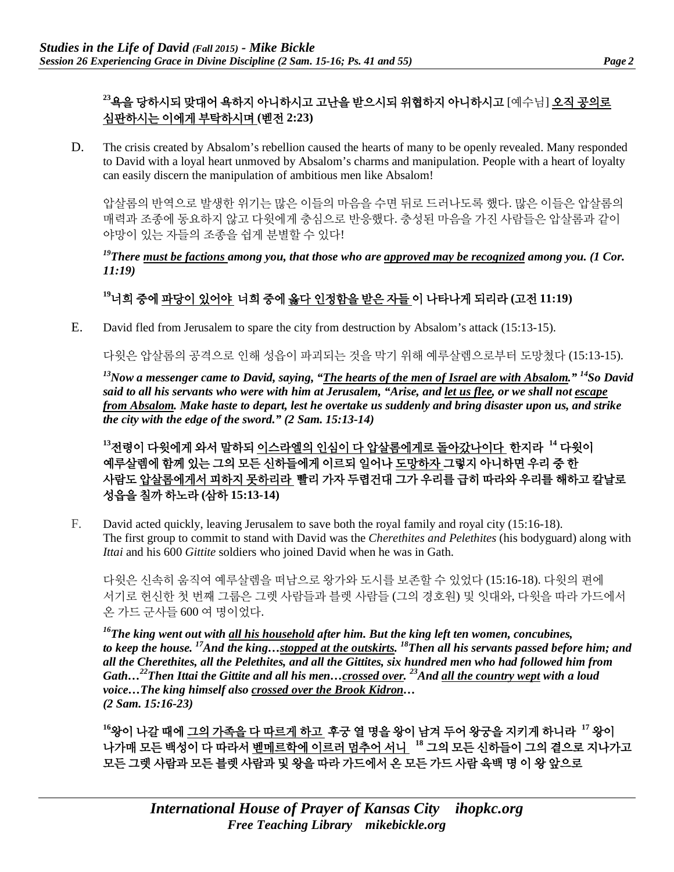# **<sup>23</sup>**욕을 당하시되 맞대어 욕하지 아니하시고 고난을 받으시되 위협하지 아니하시고 [예수님] 오직 공의로 심판하시는 이에게 부탁하시며 **(**벧전 **2:23)**

D. The crisis created by Absalom's rebellion caused the hearts of many to be openly revealed. Many responded to David with a loyal heart unmoved by Absalom's charms and manipulation. People with a heart of loyalty can easily discern the manipulation of ambitious men like Absalom!

압살롬의 반역으로 발생한 위기는 많은 이들의 마음을 수면 뒤로 드러나도록 했다. 많은 이들은 압살롬의 매력과 조종에 동요하지 않고 다윗에게 충심으로 반응했다. 충성된 마음을 가진 사람들은 압살롬과 같이 야망이 있는 자들의 조종을 쉽게 분별할 수 있다!

## *19There must be factions among you, that those who are approved may be recognized among you. (1 Cor. 11:19)*

# **<sup>19</sup>**너희 중에 파당이 있어야 너희 중에 옳다 인정함을 받은 자들 이 나타나게 되리라 **(**고전 **11:19)**

E. David fled from Jerusalem to spare the city from destruction by Absalom's attack (15:13-15).

다윗은 압살롬의 공격으로 인해 성읍이 파괴되는 것을 막기 위해 예루살렘으로부터 도망쳤다 (15:13-15).

*13Now a messenger came to David, saying, "The hearts of the men of Israel are with Absalom." 14So David said to all his servants who were with him at Jerusalem, "Arise, and let us flee, or we shall not escape from Absalom. Make haste to depart, lest he overtake us suddenly and bring disaster upon us, and strike the city with the edge of the sword." (2 Sam. 15:13-14)*

**<sup>13</sup>**전령이 다윗에게 와서 말하되 이스라엘의 인심이 다 압살롬에게로 돌아갔나이다 한지라 **<sup>14</sup>** 다윗이 예루살렘에 함께 있는 그의 모든 신하들에게 이르되 일어나 도망하자 그렇지 아니하면 우리 중 한 사람도 압살롬에게서 피하지 못하리라 빨리 가자 두렵건대 그가 우리를 급히 따라와 우리를 해하고 칼날로 성읍을 칠까 하노라 **(**삼하 **15:13-14)**

F. David acted quickly, leaving Jerusalem to save both the royal family and royal city (15:16-18). The first group to commit to stand with David was the *Cherethites and Pelethites* (his bodyguard) along with *Ittai* and his 600 *Gittite* soldiers who joined David when he was in Gath.

다윗은 신속히 움직여 예루살렘을 떠남으로 왕가와 도시를 보존할 수 있었다 (15:16-18). 다윗의 편에 서기로 헌신한 첫 번째 그룹은 그렛 사람들과 블렛 사람들 (그의 경호원) 및 잇대와, 다윗을 따라 가드에서 온 가드 군사들 600 여 명이었다.

*16The king went out with all his household after him. But the king left ten women, concubines, to keep the house. 17And the king…stopped at the outskirts. 18Then all his servants passed before him; and all the Cherethites, all the Pelethites, and all the Gittites, six hundred men who had followed him from Gath…22Then Ittai the Gittite and all his men…crossed over. 23And all the country wept with a loud voice…The king himself also crossed over the Brook Kidron… (2 Sam. 15:16-23)* 

**<sup>16</sup>**왕이 나갈 때에 그의 가족을 다 따르게 하고 후궁 열 명을 왕이 남겨 두어 왕궁을 지키게 하니라 **<sup>17</sup>** 왕이 나가매 모든 백성이 다 따라서 벧메르학에 이르러 멈추어 서니 **<sup>18</sup>** 그의 모든 신하들이 그의 곁으로 지나가고 모든 그렛 사람과 모든 블렛 사람과 및 왕을 따라 가드에서 온 모든 가드 사람 육백 명 이 왕 앞으로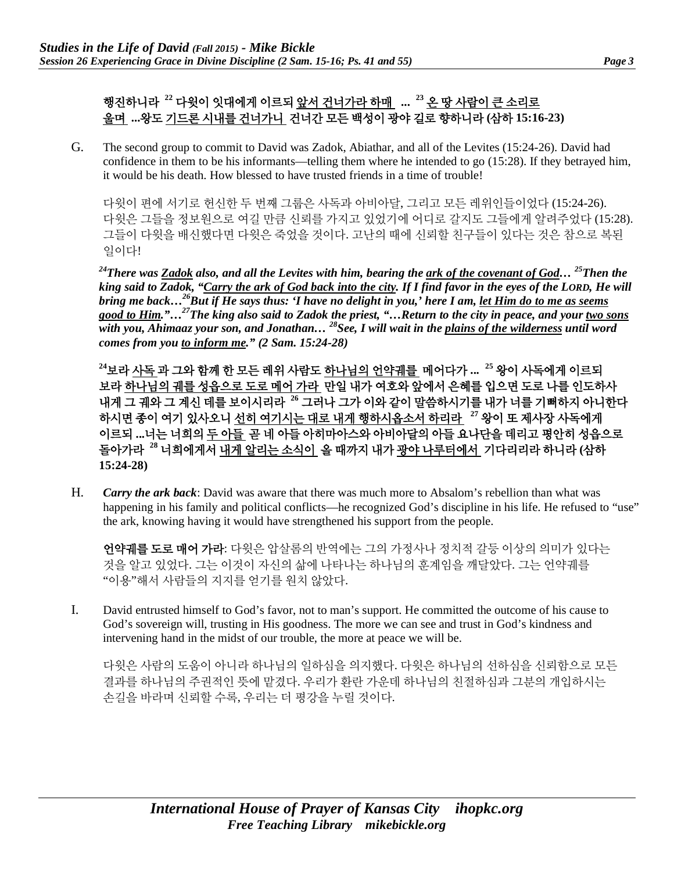# 행진하니라 **<sup>22</sup>** 다윗이 잇대에게 이르되 앞서 건너가라 하매 **... <sup>23</sup>** 온 땅 사람이 큰 소리로 울며 **...**왕도 기드론 시내를 건너가니 건너간 모든 백성이 광야 길로 향하니라 **(**삼하 **15:16-23)**

G. The second group to commit to David was Zadok, Abiathar, and all of the Levites (15:24-26). David had confidence in them to be his informants—telling them where he intended to go (15:28). If they betrayed him, it would be his death. How blessed to have trusted friends in a time of trouble!

다윗이 편에 서기로 헌신한 두 번째 그룹은 사독과 아비아달, 그리고 모든 레위인들이었다 (15:24-26). 다윗은 그들을 정보원으로 여길 만큼 신뢰를 가지고 있었기에 어디로 갈지도 그들에게 알려주었다 (15:28). 그들이 다윗을 배신했다면 다윗은 죽었을 것이다. 고난의 때에 신뢰할 친구들이 있다는 것은 참으로 복된 일이다!

*24There was Zadok also, and all the Levites with him, bearing the ark of the covenant of God… 25Then the king said to Zadok, "Carry the ark of God back into the city. If I find favor in the eyes of the LORD, He will bring me back…26But if He says thus: 'I have no delight in you,' here I am, let Him do to me as seems good to Him."…27The king also said to Zadok the priest, "…Return to the city in peace, and your two sons with you, Ahimaaz your son, and Jonathan… 28See, I will wait in the plains of the wilderness until word comes from you to inform me." (2 Sam. 15:24-28)*

**<sup>24</sup>**보라 사독 과 그와 함께 한 모든 레위 사람도 하나님의 언약궤를 메어다가 **... <sup>25</sup>** 왕이 사독에게 이르되 보라 하나님의 궤를 성읍으로 도로 메어 가라 만일 내가 여호와 앞에서 은혜를 입으면 도로 나를 인도하사 내게 그 궤와 그 계신 데를 보이시리라 **<sup>26</sup>** 그러나 그가 이와 같이 말씀하시기를 내가 너를 기뻐하지 아니한다 하시면 종이 여기 있사오니 선히 여기시는 대로 내게 행하시옵소서 하리라 **<sup>27</sup>** 왕이 또 제사장 사독에게 이르되 **...**너는 너희의 두 아들 곧 네 아들 아히마아스와 아비아달의 아들 요나단을 데리고 평안히 성읍으로 돌아가라 **<sup>28</sup>** 너희에게서 내게 알리는 소식이 올 때까지 내가 광야 나루터에서 기다리리라 하니라 **(**삼하 **15:24-28)**

H. *Carry the ark back*: David was aware that there was much more to Absalom's rebellion than what was happening in his family and political conflicts—he recognized God's discipline in his life. He refused to "use" the ark, knowing having it would have strengthened his support from the people.

언약궤를 도로 매어 가라: 다윗은 압살롬의 반역에는 그의 가정사나 정치적 갈등 이상의 의미가 있다는 것을 알고 있었다. 그는 이것이 자신의 삶에 나타나는 하나님의 훈계임을 깨달았다. 그는 언약궤를 "이용"해서 사람들의 지지를 얻기를 원치 않았다.

I. David entrusted himself to God's favor, not to man's support. He committed the outcome of his cause to God's sovereign will, trusting in His goodness. The more we can see and trust in God's kindness and intervening hand in the midst of our trouble, the more at peace we will be.

다윗은 사람의 도움이 아니라 하나님의 일하심을 의지했다. 다윗은 하나님의 선하심을 신뢰함으로 모든 결과를 하나님의 주권적인 뜻에 맡겼다. 우리가 환란 가운데 하나님의 친절하심과 그분의 개입하시는 손길을 바라며 신뢰할 수록, 우리는 더 평강을 누릴 것이다.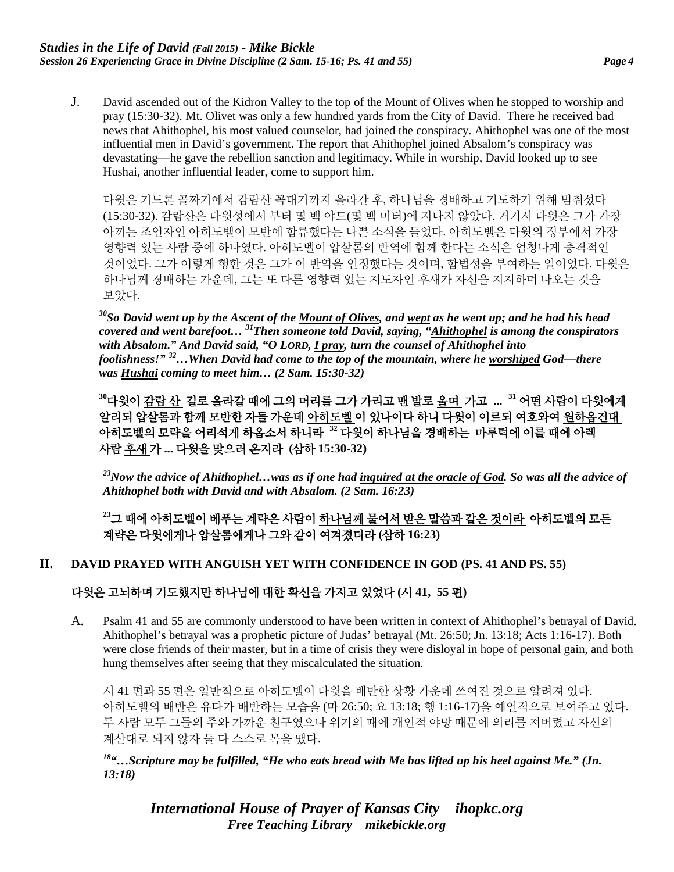J. David ascended out of the Kidron Valley to the top of the Mount of Olives when he stopped to worship and pray (15:30-32). Mt. Olivet was only a few hundred yards from the City of David. There he received bad news that Ahithophel, his most valued counselor, had joined the conspiracy. Ahithophel was one of the most influential men in David's government. The report that Ahithophel joined Absalom's conspiracy was devastating—he gave the rebellion sanction and legitimacy. While in worship, David looked up to see Hushai, another influential leader, come to support him.

다윗은 기드론 골짜기에서 감람산 꼭대기까지 올라간 후, 하나님을 경배하고 기도하기 위해 멈춰섰다 (15:30-32). 감람산은 다윗성에서 부터 몇 백 야드(몇 백 미터)에 지나지 않았다. 거기서 다윗은 그가 가장 아끼는 조언자인 아히도벨이 모반에 합류했다는 나쁜 소식을 들었다. 아히도벨은 다윗의 정부에서 가장 영향력 있는 사람 중에 하나였다. 아히도벨이 압살롬의 반역에 함께 한다는 소식은 엄청나게 충격적인 것이었다. 그가 이렇게 행한 것은 그가 이 반역을 인정했다는 것이며, 합법성을 부여하는 일이었다. 다윗은 하나님께 경배하는 가운데, 그는 또 다른 영향력 있는 지도자인 후새가 자신을 지지하며 나오는 것을 보았다.

*30So David went up by the Ascent of the Mount of Olives, and wept as he went up; and he had his head covered and went barefoot… 31Then someone told David, saying, "Ahithophel is among the conspirators with Absalom." And David said, "O LORD, I pray, turn the counsel of Ahithophel into foolishness!" 32…When David had come to the top of the mountain, where he worshiped God—there was Hushai coming to meet him… (2 Sam. 15:30-32)*

**<sup>30</sup>**다윗이 감람 산 길로 올라갈 때에 그의 머리를 그가 가리고 맨 발로 울며 가고 **... <sup>31</sup>** 어떤 사람이 다윗에게 알리되 압살롬과 함께 모반한 자들 가운데 아히도벨 이 있나이다 하니 다윗이 이르되 여호와여 원하옵건대 아히도벨의 모략을 어리석게 하옵소서 하니라 **<sup>32</sup>** 다윗이 하나님을 경배하는 마루턱에 이를 때에 아렉 사람 후새 가 **...** 다윗을 맞으러 온지라 **(**삼하 **15:30-32)**

*23Now the advice of Ahithophel…was as if one had inquired at the oracle of God. So was all the advice of Ahithophel both with David and with Absalom. (2 Sam. 16:23)*

**<sup>23</sup>**그 때에 아히도벨이 베푸는 계략은 사람이 하나님께 물어서 받은 말씀과 같은 것이라 아히도벨의 모든 계략은 다윗에게나 압살롬에게나 그와 같이 여겨졌더라 **(**삼하 **16:23)**

## **II. DAVID PRAYED WITH ANGUISH YET WITH CONFIDENCE IN GOD (PS. 41 AND PS. 55)**

## 다윗은 고뇌하며 기도했지만 하나님에 대한 확신을 가지고 있었다 **(**시 **41, 55** 편**)**

A. Psalm 41 and 55 are commonly understood to have been written in context of Ahithophel's betrayal of David. Ahithophel's betrayal was a prophetic picture of Judas' betrayal (Mt. 26:50; Jn. 13:18; Acts 1:16-17). Both were close friends of their master, but in a time of crisis they were disloyal in hope of personal gain, and both hung themselves after seeing that they miscalculated the situation.

시 41 편과 55 편은 일반적으로 아히도벨이 다윗을 배반한 상황 가운데 쓰여진 것으로 알려져 있다. 아히도벨의 배반은 유다가 배반하는 모습을 (마 26:50; 요 13:18; 행 1:16-17)을 예언적으로 보여주고 있다. 두 사람 모두 그들의 주와 가까운 친구였으나 위기의 때에 개인적 야망 때문에 의리를 져버렸고 자신의 계산대로 되지 않자 둘 다 스스로 목을 맸다.

*18"…Scripture may be fulfilled, "He who eats bread with Me has lifted up his heel against Me." (Jn. 13:18)*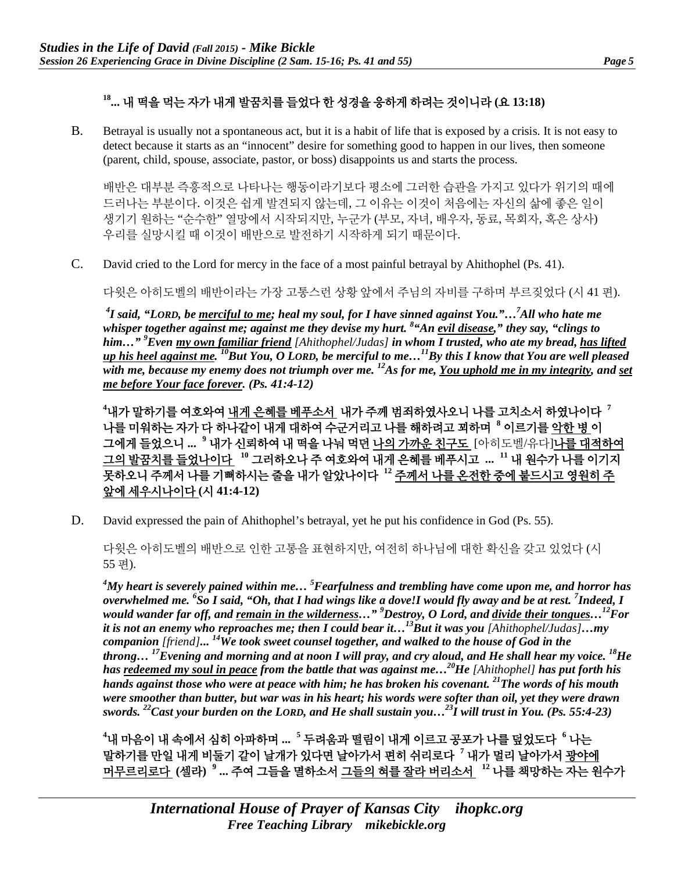# **18...** 내 떡을 먹는 자가 내게 발꿈치를 들었다 한 성경을 응하게 하려는 것이니라 **(**요 **13:18)**

B. Betrayal is usually not a spontaneous act, but it is a habit of life that is exposed by a crisis. It is not easy to detect because it starts as an "innocent" desire for something good to happen in our lives, then someone (parent, child, spouse, associate, pastor, or boss) disappoints us and starts the process.

배반은 대부분 즉흥적으로 나타나는 행동이라기보다 평소에 그러한 습관을 가지고 있다가 위기의 때에 드러나는 부분이다. 이것은 쉽게 발견되지 않는데, 그 이유는 이것이 처음에는 자신의 삶에 좋은 일이 생기기 원하는 "순수한" 열망에서 시작되지만, 누군가 (부모, 자녀, 배우자, 동료, 목회자, 혹은 상사) 우리를 실망시킬 때 이것이 배반으로 발전하기 시작하게 되기 때문이다.

C. David cried to the Lord for mercy in the face of a most painful betrayal by Ahithophel (Ps. 41).

다윗은 아히도벨의 배반이라는 가장 고통스런 상황 앞에서 주님의 자비를 구하며 부르짖었다 (시 41 편).

*4 I said, "LORD, be merciful to me; heal my soul, for I have sinned against You."…7 All who hate me whisper together against me; against me they devise my hurt. <sup>8</sup> "An evil disease," they say, "clings to him…" 9 Even my own familiar friend [Ahithophel/Judas] in whom I trusted, who ate my bread, has lifted up his heel against me. 10But You, O LORD, be merciful to me…11By this I know that You are well pleased*  with me, because my enemy does not triumph over me. <sup>12</sup>As for me, <u>You uphold me in my integrity</u>, and set *me before Your face forever. (Ps. 41:4-12)*

**4** 내가 말하기를 여호와여 내게 은혜를 베푸소서 내가 주께 범죄하였사오니 나를 고치소서 하였나이다 **<sup>7</sup>** 나를 미워하는 자가 다 하나같이 내게 대하여 수군거리고 나를 해하려고 꾀하며 **<sup>8</sup>** 이르기를 악한 병 이 그에게 들었으니 **... <sup>9</sup>** 내가 신뢰하여 내 떡을 나눠 먹던 나의 가까운 친구도 [아히도벨/유다]나를 대적하여 그의 발꿈치를 들었나이다 **<sup>10</sup>** 그러하오나 주 여호와여 내게 은혜를 베푸시고 **... <sup>11</sup>** 내 원수가 나를 이기지 못하오니 주께서 나를 기뻐하시는 줄을 내가 알았나이다 **<sup>12</sup>** 주께서 나를 온전한 중에 붙드시고 영원히 주 앞에 세우시나이다 **(**시 **41:4-12)**

D. David expressed the pain of Ahithophel's betrayal, yet he put his confidence in God (Ps. 55).

다윗은 아히도벨의 배반으로 인한 고통을 표현하지만, 여전히 하나님에 대한 확신을 갖고 있었다 (시 55 편).

*4 My heart is severely pained within me… 5 Fearfulness and trembling have come upon me, and horror has overwhelmed me. <sup>6</sup> So I said, "Oh, that I had wings like a dove!I would fly away and be at rest. <sup>7</sup> Indeed, I would wander far off, and remain in the wilderness…" <sup>9</sup> Destroy, O Lord, and divide their tongues…12For it is not an enemy who reproaches me; then I could bear it…13But it was you [Ahithophel/Judas]…my companion [friend]... 14We took sweet counsel together, and walked to the house of God in the throng… 17Evening and morning and at noon I will pray, and cry aloud, and He shall hear my voice. 18He has redeemed my soul in peace from the battle that was against me…20He [Ahithophel] has put forth his hands against those who were at peace with him; he has broken his covenant. 21The words of his mouth were smoother than butter, but war was in his heart; his words were softer than oil, yet they were drawn swords. 22Cast your burden on the LORD, and He shall sustain you…23I will trust in You. (Ps. 55:4-23)*

**4** 내 마음이 내 속에서 심히 아파하며 **... <sup>5</sup>** 두려움과 떨림이 내게 이르고 공포가 나를 덮었도다 **<sup>6</sup>** 나는 말하기를 만일 내게 비둘기 같이 날개가 있다면 날아가서 편히 쉬리로다 **<sup>7</sup>** 내가 멀리 날아가서 광야에 머무르리로다 **(**셀라**) <sup>9</sup> ...** 주여 그들을 멸하소서 그들의 혀를 잘라 버리소서 **<sup>12</sup>** 나를 책망하는 자는 원수가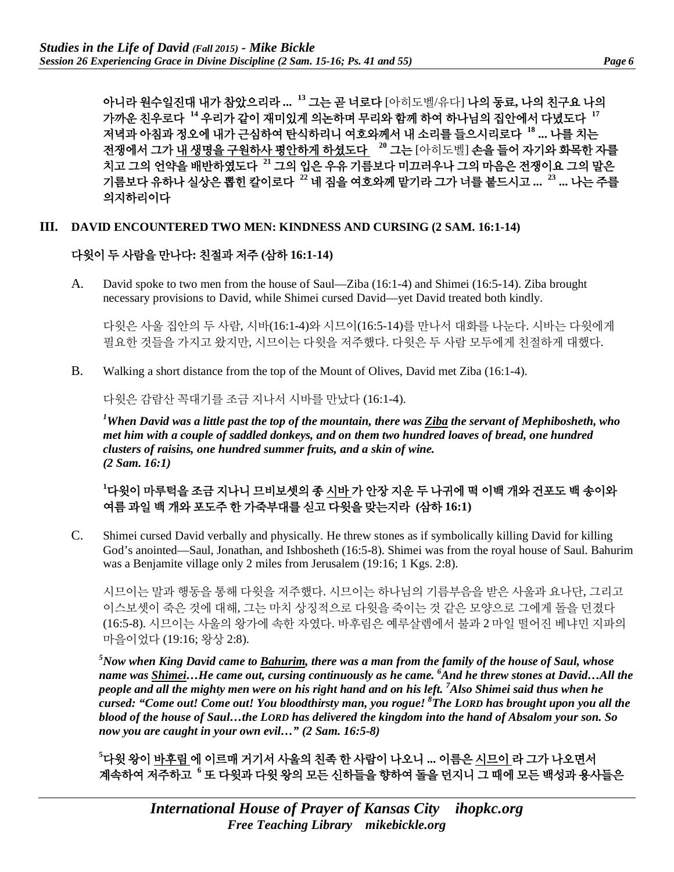아니라 원수일진대 내가 참았으리라 **... <sup>13</sup>** 그는 곧 너로다 [아히도벨/유다] 나의 동료**,** 나의 친구요 나의 가까운 친우로다 **<sup>14</sup>** 우리가 같이 재미있게 의논하며 무리와 함께 하여 하나님의 집안에서 다녔도다 **<sup>17</sup>** 저녁과 아침과 정오에 내가 근심하여 탄식하리니 여호와께서 내 소리를 들으시리로다 **<sup>18</sup> ...** 나를 치는 전쟁에서 그가 내 생명을 구원하사 평안하게 하셨도다 **<sup>20</sup>** 그는 [아히도벨] 손을 들어 자기와 화목한 자를 치고 그의 언약을 배반하였도다 **<sup>21</sup>** 그의 입은 우유 기름보다 미끄러우나 그의 마음은 전쟁이요 그의 말은 기름보다 유하나 실상은 뽑힌 칼이로다 **<sup>22</sup>** 네 짐을 여호와께 맡기라 그가 너를 붙드시고 **... <sup>23</sup> ...** 나는 주를 의지하리이다

#### **III. DAVID ENCOUNTERED TWO MEN: KINDNESS AND CURSING (2 SAM. 16:1-14)**

#### 다윗이 두 사람을 만나다**:** 친절과 저주 **(**삼하 **16:1-14)**

A. David spoke to two men from the house of Saul—Ziba (16:1-4) and Shimei (16:5-14). Ziba brought necessary provisions to David, while Shimei cursed David—yet David treated both kindly.

다윗은 사울 집안의 두 사람, 시바(16:1-4)와 시므이(16:5-14)를 만나서 대화를 나눈다. 시바는 다윗에게 필요한 것들을 가지고 왔지만, 시므이는 다윗을 저주했다. 다윗은 두 사람 모두에게 친절하게 대했다.

B. Walking a short distance from the top of the Mount of Olives, David met Ziba (16:1-4).

다윗은 감람산 꼭대기를 조금 지나서 시바를 만났다 (16:1-4).

*1 When David was a little past the top of the mountain, there was Ziba the servant of Mephibosheth, who met him with a couple of saddled donkeys, and on them two hundred loaves of bread, one hundred clusters of raisins, one hundred summer fruits, and a skin of wine. (2 Sam. 16:1)*

**1** 다윗이 마루턱을 조금 지나니 므비보셋의 종 시바 가 안장 지운 두 나귀에 떡 이백 개와 건포도 백 송이와 여름 과일 백 개와 포도주 한 가죽부대를 싣고 다윗을 맞는지라 **(**삼하 **16:1)**

C. Shimei cursed David verbally and physically. He threw stones as if symbolically killing David for killing God's anointed—Saul, Jonathan, and Ishbosheth (16:5-8). Shimei was from the royal house of Saul. Bahurim was a Benjamite village only 2 miles from Jerusalem (19:16; 1 Kgs. 2:8).

시므이는 말과 행동을 통해 다윗을 저주했다. 시므이는 하나님의 기름부음을 받은 사울과 요나단, 그리고 이스보셋이 죽은 것에 대해, 그는 마치 상징적으로 다윗을 죽이는 것 같은 모양으로 그에게 돌을 던졌다 (16:5-8). 시므이는 사울의 왕가에 속한 자였다. 바후림은 예루살렘에서 불과 2 마일 떨어진 베냐민 지파의 마을이었다 (19:16; 왕상 2:8).

*5 Now when King David came to Bahurim, there was a man from the family of the house of Saul, whose name was Shimei…He came out, cursing continuously as he came. 6 And he threw stones at David…All the people and all the mighty men were on his right hand and on his left. <sup>7</sup> Also Shimei said thus when he cursed: "Come out! Come out! You bloodthirsty man, you rogue! 8 The LORD has brought upon you all the blood of the house of Saul…the LORD has delivered the kingdom into the hand of Absalom your son. So now you are caught in your own evil…" (2 Sam. 16:5-8)*

**5** 다윗 왕이 바후림 에 이르매 거기서 사울의 친족 한 사람이 나오니 **...** 이름은 시므이 라 그가 나오면서 계속하여 저주하고 **<sup>6</sup>** 또 다윗과 다윗 왕의 모든 신하들을 향하여 돌을 던지니 그 때에 모든 백성과 용사들은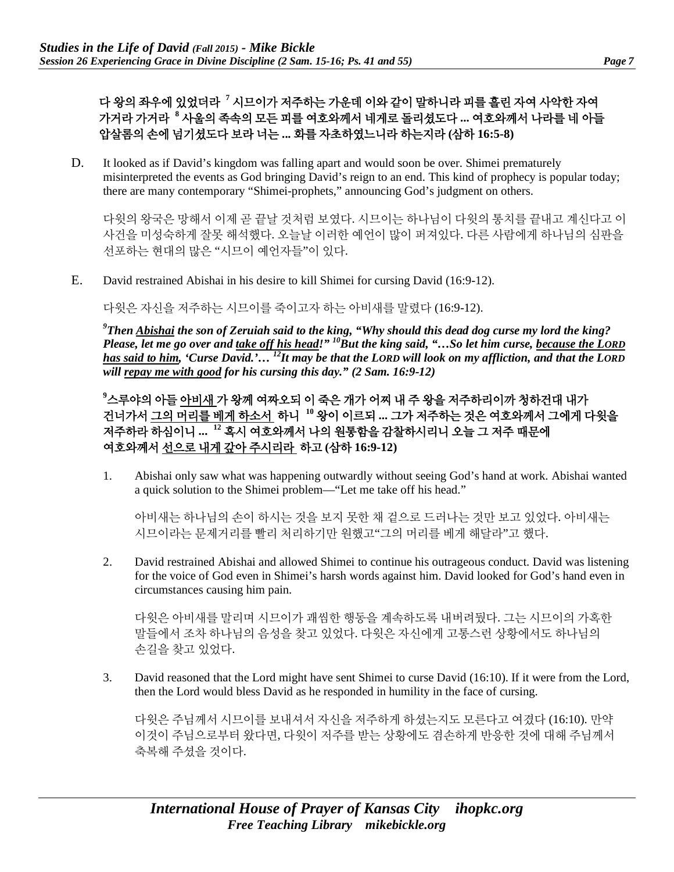다 왕의 좌우에 있었더라 **<sup>7</sup>** 시므이가 저주하는 가운데 이와 같이 말하니라 피를 흘린 자여 사악한 자여 가거라 가거라 **<sup>8</sup>** 사울의 족속의 모든 피를 여호와께서 네게로 돌리셨도다 **...** 여호와께서 나라를 네 아들 압살롬의 손에 넘기셨도다 보라 너는 **...** 화를 자초하였느니라 하는지라 **(**삼하 **16:5-8)**

D. It looked as if David's kingdom was falling apart and would soon be over. Shimei prematurely misinterpreted the events as God bringing David's reign to an end. This kind of prophecy is popular today; there are many contemporary "Shimei-prophets," announcing God's judgment on others.

다윗의 왕국은 망해서 이제 곧 끝날 것처럼 보였다. 시므이는 하나님이 다윗의 통치를 끝내고 계신다고 이 사건을 미성숙하게 잘못 해석했다. 오늘날 이러한 예언이 많이 퍼져있다. 다른 사람에게 하나님의 심판을 선포하는 현대의 많은 "시므이 예언자들"이 있다.

E. David restrained Abishai in his desire to kill Shimei for cursing David (16:9-12).

다윗은 자신을 저주하는 시므이를 죽이고자 하는 아비새를 말렸다 (16:9-12).

*9 Then Abishai the son of Zeruiah said to the king, "Why should this dead dog curse my lord the king? Please, let me go over and take off his head!" 10But the king said, "…So let him curse, because the LORD has said to him, 'Curse David.'… 12It may be that the LORD will look on my affliction, and that the LORD will repay me with good for his cursing this day." (2 Sam. 16:9-12)*

**9** 스루야의 아들 아비새 가 왕께 여짜오되 이 죽은 개가 어찌 내 주 왕을 저주하리이까 청하건대 내가 건너가서 그의 머리를 베게 하소서 하니 **<sup>10</sup>** 왕이 이르되 **...** 그가 저주하는 것은 여호와께서 그에게 다윗을 저주하라 하심이니 **... <sup>12</sup>** 혹시 여호와께서 나의 원통함을 감찰하시리니 오늘 그 저주 때문에 여호와께서 선으로 내게 갚아 주시리라 하고 **(**삼하 **16:9-12)**

1. Abishai only saw what was happening outwardly without seeing God's hand at work. Abishai wanted a quick solution to the Shimei problem—"Let me take off his head."

아비새는 하나님의 손이 하시는 것을 보지 못한 채 겉으로 드러나는 것만 보고 있었다. 아비새는 시므이라는 문제거리를 빨리 처리하기만 원했고"그의 머리를 베게 해달라"고 했다.

2. David restrained Abishai and allowed Shimei to continue his outrageous conduct. David was listening for the voice of God even in Shimei's harsh words against him. David looked for God's hand even in circumstances causing him pain.

다윗은 아비새를 말리며 시므이가 괘씸한 행동을 계속하도록 내버려뒀다. 그는 시므이의 가혹한 말들에서 조차 하나님의 음성을 찾고 있었다. 다윗은 자신에게 고통스런 상황에서도 하나님의 손길을 찾고 있었다.

3. David reasoned that the Lord might have sent Shimei to curse David (16:10). If it were from the Lord, then the Lord would bless David as he responded in humility in the face of cursing.

다윗은 주님께서 시므이를 보내셔서 자신을 저주하게 하셨는지도 모른다고 여겼다 (16:10). 만약 이것이 주님으로부터 왔다면, 다윗이 저주를 받는 상황에도 겸손하게 반응한 것에 대해 주님께서 축복해 주셨을 것이다.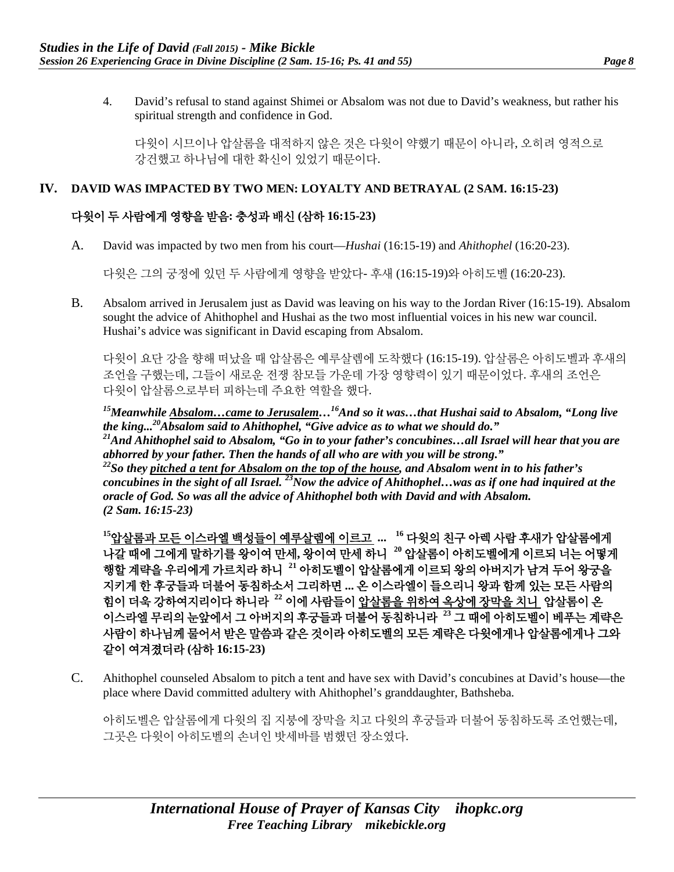4. David's refusal to stand against Shimei or Absalom was not due to David's weakness, but rather his spiritual strength and confidence in God.

다윗이 시므이나 압살롬을 대적하지 않은 것은 다윗이 약했기 때문이 아니라, 오히려 영적으로 강건했고 하나님에 대한 확신이 있었기 때문이다.

## **IV. DAVID WAS IMPACTED BY TWO MEN: LOYALTY AND BETRAYAL (2 SAM. 16:15-23)**

## 다윗이 두 사람에게 영향을 받음**:** 충성과 배신 **(**삼하 **16:15-23)**

A. David was impacted by two men from his court—*Hushai* (16:15-19) and *Ahithophel* (16:20-23).

다윗은 그의 궁정에 있던 두 사람에게 영향을 받았다- 후새 (16:15-19)와 아히도벨 (16:20-23).

B. Absalom arrived in Jerusalem just as David was leaving on his way to the Jordan River (16:15-19). Absalom sought the advice of Ahithophel and Hushai as the two most influential voices in his new war council. Hushai's advice was significant in David escaping from Absalom.

다윗이 요단 강을 향해 떠났을 때 압살롬은 예루살렘에 도착했다 (16:15-19). 압살롬은 아히도벨과 후새의 조언을 구했는데, 그들이 새로운 전쟁 참모들 가운데 가장 영향력이 있기 때문이었다. 후새의 조언은 다윗이 압살롬으로부터 피하는데 주요한 역할을 했다.

*15Meanwhile Absalom…came to Jerusalem…16And so it was…that Hushai said to Absalom, "Long live the king...20Absalom said to Ahithophel, "Give advice as to what we should do." 21And Ahithophel said to Absalom, "Go in to your father's concubines…all Israel will hear that you are abhorred by your father. Then the hands of all who are with you will be strong." 22So they pitched a tent for Absalom on the top of the house, and Absalom went in to his father's concubines in the sight of all Israel. 23Now the advice of Ahithophel…was as if one had inquired at the oracle of God. So was all the advice of Ahithophel both with David and with Absalom. (2 Sam. 16:15-23)*

**<sup>15</sup>**압살롬과 모든 이스라엘 백성들이 예루살렘에 이르고 **... <sup>16</sup>** 다윗의 친구 아렉 사람 후새가 압살롬에게 나갈 때에 그에게 말하기를 왕이여 만세**,** 왕이여 만세 하니**<sup>20</sup>** 압살롬이 아히도벨에게 이르되 너는 어떻게 행할 계략을 우리에게 가르치라 하니 **<sup>21</sup>** 아히도벨이 압살롬에게 이르되 왕의 아버지가 남겨 두어 왕궁을 지키게 한 후궁들과 더불어 동침하소서 그리하면 **...** 온 이스라엘이 들으리니 왕과 함께 있는 모든 사람의 힘이 더욱 강하여지리이다 하니라 **<sup>22</sup>** 이에 사람들이 압살롬을 위하여 옥상에 장막을 치니 압살롬이 온 이스라엘 무리의 눈앞에서 그 아버지의 후궁들과 더불어 동침하니라 **<sup>23</sup>** 그 때에 아히도벨이 베푸는 계략은 사람이 하나님께 물어서 받은 말씀과 같은 것이라 아히도벨의 모든 계략은 다윗에게나 압살롬에게나 그와 같이 여겨졌더라 **(**삼하 **16:15-23)**

C. Ahithophel counseled Absalom to pitch a tent and have sex with David's concubines at David's house—the place where David committed adultery with Ahithophel's granddaughter, Bathsheba.

아히도벨은 압살롬에게 다윗의 집 지붕에 장막을 치고 다윗의 후궁들과 더불어 동침하도록 조언했는데, 그곳은 다윗이 아히도벨의 손녀인 밧세바를 범했던 장소였다.